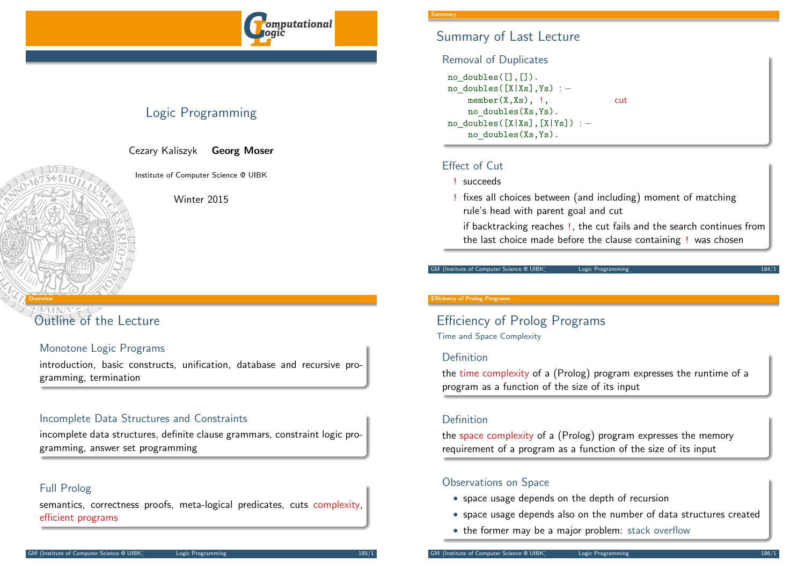

## Logic Programming

Cezary Kaliszyk Georg Moser

Institute of Computer Science @ UIBK

Winter 2015

# [Outline o](#page-0-0)f the Lecture

<span id="page-0-0"></span>Overview

## Monotone Logic Programs

introduction, basic constructs, unification, database and recursive programming, termination

## Incomplete Data Structures and Constraints

incomplete data structures, definite clause grammars, constraint logic programming, answer set programming

## Full Prolog

semantics, correctness proofs, meta-logical predicates, cuts complexity, efficient programs

## Summary of Last Lecture

### Removal of Duplicates

```
no doubles([],[]).
no doubles([X|Xs],Ys) : −
   member(X,Xs), !, cut
   no doubles(Xs,Ys).
no doubles([X|Xs],[X|Ys]) : −
   no doubles(Xs,Ys).
```
## Effect of Cut

- ! succeeds
- ! fixes all choices between (and including) moment of matching rule's head with parent goal and cut

if backtracking reaches !, the cut fails and the search continues from the last choice made before the clause containing ! was chosen

#### GM (Institute of Computer Science @ UIBK) Logic Programming

#### Efficiency of Prolog Programs

Efficiency of Prolog Programs Time and Space Complexity

### Definition

the time complexity of a (Prolog) program expresses the runtime of a program as a function of the size of its input

### Definition

the space complexity of a (Prolog) program expresses the memory requirement of a program as a function of the size of its input

## Observations on Space

- space usage depends on the depth of recursion
- space usage depends also on the number of data structures created
- the former may be a major problem: stack overflow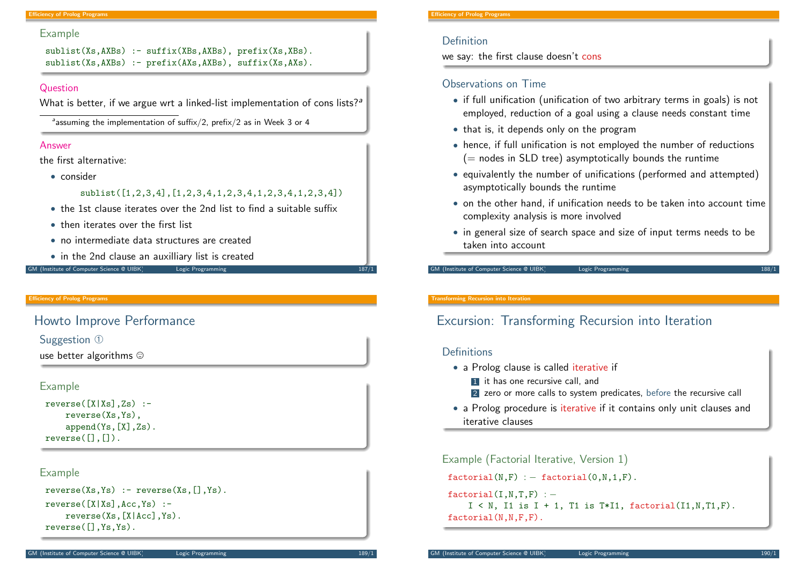#### **Ficiency of Prolog Programs**

#### Example

```
sublist(Xs,AXBs) :- suffix(XBs,AXBs), prefix(Xs,XBs).
sublist(Xs,AXBs) :- prefix(AXs,AXBs), suffix(Xs,AXs).
```
#### Question

What is better, if we argue wrt a linked-list implementation of cons lists?<sup>*a*</sup>

 $a$ assuming the implementation of suffix/2, prefix/2 as in Week 3 or 4

### Answer

the first alternative:

• consider

### sublist([1,2,3,4],[1,2,3,4,1,2,3,4,1,2,3,4,1,2,3,4])

- the 1st clause iterates over the 2nd list to find a suitable suffix
- then iterates over the first list
- no intermediate data structures are created
- in the 2nd clause an auxilliary list is created

#### GM (Institute of Computer Science @ UIBK) Logic Programming 187/1

#### Efficiency of Prolog Programs

## <span id="page-1-0"></span>[Howto I](#page-0-0)[mpro](#page-1-0)ve Performance

### Suggestion ①

use better algorithms  $\odot$ 

### Example

 $reverse([X|Xs],Zs)$  :reverse(Xs,Ys), append(Ys,[X],Zs).  $reverse([], [])$ .

### Example

```
reverse(Xs,Ys) := reverse(Xs,[]Ys).
reverse([X|Xs],Acc,Ys) :-
    reverse(Xs,[X|Acc],Ys).
reverse([],Ys,Ys).
```
#### Efficiency of Prolog Programs

## Definition

we say: the first clause doesn't cons

## Observations on Time

- if full unification (unification of two arbitrary terms in goals) is not employed, reduction of a goal using a clause needs constant time
- that is, it depends only on the program
- hence, if full unification is not employed the number of reductions  $(=$  nodes in SLD tree) asymptotically bounds the runtime
- equivalently the number of unifications (performed and attempted) asymptotically bounds the runtime
- $\bullet$  on the other hand, if unification needs to be taken into account time complexity analysis is more involved
- in general size of search space and size of input terms needs to be taken into account

GM (Institute of Computer Science @ UIBK) Logic Programming

#### Transforming Recursion into Iteration

## Excursion: Transforming Recursion into Iteration

### **Definitions**

- a Prolog clause is called iterative if
	- **1** it has one recursive call, and
	- 2 zero or more calls to system predicates, before the recursive call
- a Prolog procedure is iterative if it contains only unit clauses and iterative clauses

Example (Factorial Iterative, Version 1)

 $factorial(N,F) := factorial(0,N,1,F)$ .

```
factorial(I.N.T.F) : −
```

```
I \le N, I1 is I + 1, T1 is T*I1, factorial(I1,N,T1,F).
factorial(N,N,F,F).
```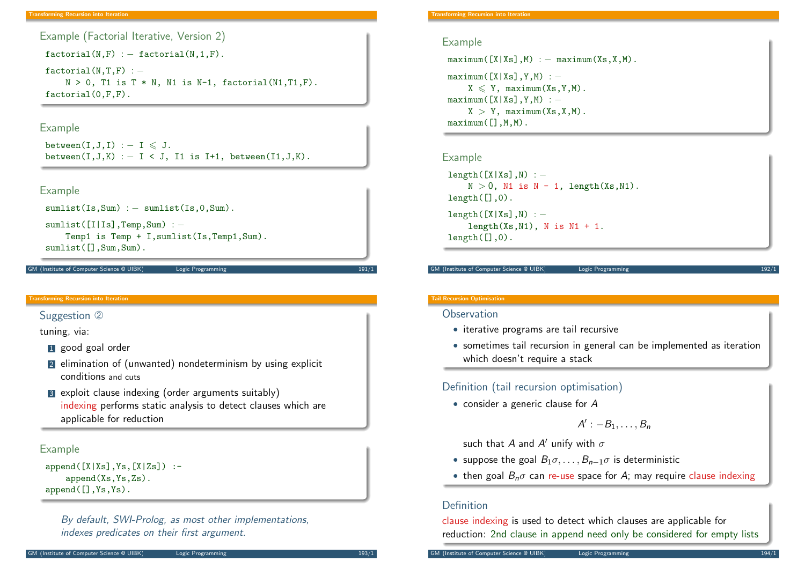```
Example (Factorial Iterative, Version 2)
```
 $factorial(N,F)$  : - factorial( $N,1,F$ ).

 $factorial(N,T,F)$  : −  $N > 0$ , T1 is T  $*$  N, N1 is N-1, factorial(N1,T1,F). factorial(0,F,F).

### Example

```
between(I,J,I) : -I \leq J.
between(I,J,K) : - I < J, I1 is I+1, between(I1,J,K).
```
#### Example

```
sumlist(Is,Sum) : - sumlist(Is, 0, Sum).
```

```
sumlist([I|Is],Temp,Sum) : -
    Temp1 is Temp + I,sumlist(Is,Temp1,Sum).
sumlist(\lceil.Sum,Sum).
```
GM (Institute of Computer Science @ UIBK) Logic Programming 191/1

#### <span id="page-2-0"></span>Transforming Recursion into Iteration

### [Suggestion](#page-1-0) 2

tuning, via:

- **1** good goal order
- 2 elimination of (unwanted) nondeterminism by using explicit conditions and cuts
- 3 exploit clause indexing (order arguments suitably) indexing performs static analysis to detect clauses which are applicable for reduction

### Example

```
append([X|Xs],Ys,[X|Zs]) :-
   append(Xs,Ys,Zs).
append([],Ys,Ys).
```
By default, SWI-Prolog, as most other implementations, indexes predicates on their first argument.

#### **Transforming Recursion into Iteration**

#### Example

```
maximum(fX|Xs],M) : – maximum(Xs,X,M).
maximum([X|Xs],Y,M) : −
    X \leq Y, maximum(X_S, Y, M).
maximum([X|Xs],Y,M) : −
    X > Y, maximum(Xs, X, M).
maximum([], M, M).
```
#### Example

```
length([X|Xs],N) : -
    N > 0, N1 is N - 1, length(Xs,N1).
length([],0).
length([X|Xs],N) : -
    length(Xs,N1), N is N1 + 1.
length([],0).
```
GM (Institute of Computer Science @ UIBK) Logic Programming

#### Tail Recursion Optimisation

### **Observation**

- iterative programs are tail recursive
- sometimes tail recursion in general can be implemented as iteration which doesn't require a stack

## Definition (tail recursion optimisation)

• consider a generic clause for A

$$
A':-B_1,\ldots,B_n
$$

such that  $A$  and  $A'$  unify with  $\sigma$ 

- suppose the goal  $B_1 \sigma, \ldots, B_{n-1} \sigma$  is deterministic
- then goal  $B_n\sigma$  can re-use space for A; may require clause indexing

## Definition

clause indexing is used to detect which clauses are applicable for reduction: 2nd clause in append need only be considered for empty lists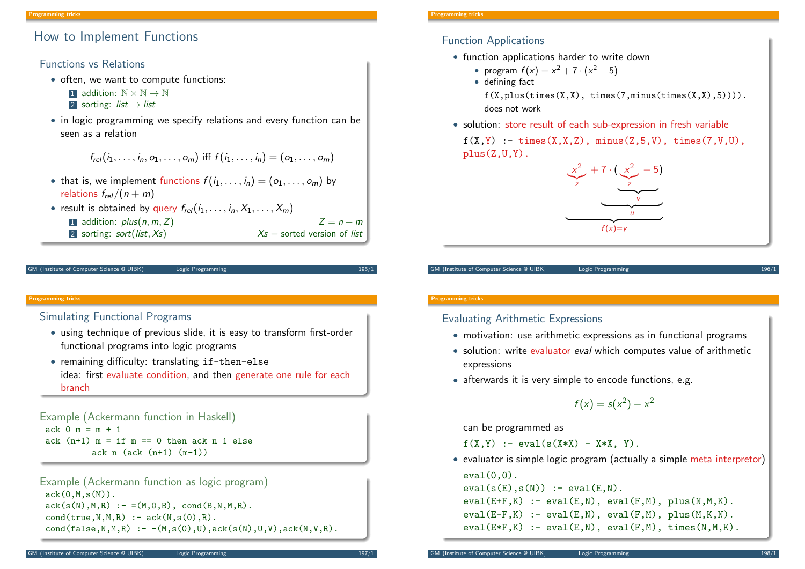## How to Implement Functions

## Functions vs Relations

- often, we want to compute functions:
	- 1 addition:  $\mathbb{N} \times \mathbb{N} \to \mathbb{N}$
	- 2 sorting: *list*  $\rightarrow$  *list*
- in logic programming we specify relations and every function can be seen as a relation

$$
f_{rel}(i_1, ..., i_n, o_1, ..., o_m)
$$
 iff  $f(i_1, ..., i_n) = (o_1, ..., o_m)$ 

- that is, we implement functions  $f(i_1, \ldots, i_n) = (o_1, \ldots, o_m)$  by relations  $f_{rel}/(n + m)$
- result is obtained by query  $f_{rel}(i_1, \ldots, i_n, X_1, \ldots, X_m)$ 
	- 1 addition:  $plus(n, m, Z)$   $Z = n + m$
	- 2 sorting: sort(list,  $X_s$ )  $X_s$  = sorted version of list

```
M (Institute of Computer Science @ UIBK) Logic Programming
```
### <span id="page-3-0"></span>Programming tricks

## [Sim](#page-3-0)ulating Functional Programs

- using technique of previous slide, it is easy to transform first-order functional programs into logic programs
- remaining difficulty: translating if-then-else idea: first evaluate condition, and then generate one rule for each branch

Example (Ackermann function in Haskell)  $ack 0$  m = m + 1 ack  $(n+1)$  m = if m == 0 then ack n 1 else ack  $n$  (ack  $(n+1)$   $(m-1)$ )

```
Example (Ackermann function as logic program)
 ack(0,M,s(M)).
 ack(s(N),M,R) :- =(M,0,B), cond(B,N,M,R).
 cond(true, N, M, R) :- ack(N, s(0), R).
 cond(false, N, M, R) \nightharpoonup -(M, s(0), U), ack(s(N), U, V), ack(N, V, R).
```
#### **Programming tricks**

## Function Applications

- function applications harder to write down
	- program  $f(x) = x^2 + 7 \cdot (x^2 5)$
	- defining fact

 $f(X, plus(times(X,X), times(7, minus(times(X,X),5))))$ . does not work

• solution: store result of each sub-expression in fresh variable

 $f(X,Y)$  : - times $(X,X,Z)$ , minus $(Z,5,V)$ , times $(7,V,U)$ ,  $plus(Z,U,Y)$ .



GM (Institute of Computer Science @ UIBK) Logic Programming

#### Programming tricks

Evaluating Arithmetic Expressions

- motivation: use arithmetic expressions as in functional programs
- solution: write evaluator eval which computes value of arithmetic expressions
- afterwards it is very simple to encode functions, e.g.

$$
f(x) = s(x^2) - x^2
$$

can be programmed as

 $f(X,Y)$  :- eval( $s(X*X)$  -  $X*X$ ,  $Y$ ).

• evaluator is simple logic program (actually a simple meta interpretor)  $eval(0,0)$ .

```
eval(s(E),s(N)) := eval(E,N).
eval(E+F,K) := eval(E,N), eval(F,M), plus(N,M,K).
eval(E-F,K) :- eval(E,N), eval(F,M), plus(M,K,N).
eval(E*F,K) := eval(E,N), eval(F,M), timeS(N,M,K).
```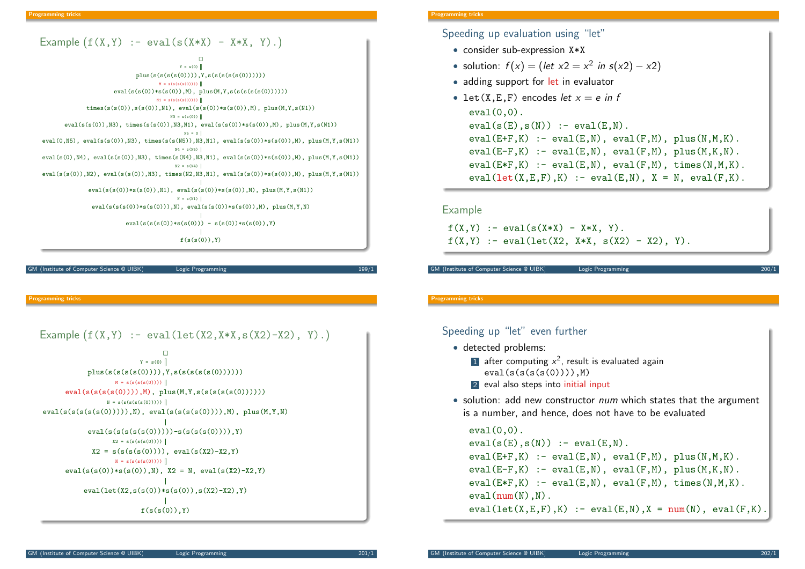

(Institute of Computer Science @ UIBK) Logic Programming

rogramming tricks

```
Example (f(X, Y) := eval(left(X2, X*X, s(X2) - X2), Y).
```

```
f(s(s(0)), Y)eval(let(X2,s(s(0))*s(s(0)),s(X2)-X2),Y)
     eval(s(s(0)) * s(s(0)), N), X2 = N, eval(s(X2) - X2, Y)X2 = s(s(s(s(0)))), eval(s(X2)-X2,Y)
                  N = s(s(s(s(0))))eval(s(s(s(s(0)))))-s(s(s(s(0)))), Y)
                 X2 = s(s(s(s(0))))eval(s(s(s(s(0))))),N), eval(s(s(s(s(0))))),M), plus(M,Y,N)eval(s(s(s(0)))), M), plus(M,Y,s(s(s(s(0))))N = s(s(s(s(0))))plus(s(s(s(0)))), Y, s(s(s(s(s(0))))M = s(s(s(s(0))))\BoxY = s(0)
```
#### ogramming tricks

Speeding up evaluation using "let"

- consider sub-expression  $X \times X$
- solution:  $f(x) = (let x2 = x^2 in s(x2) x2)$
- adding support for let in evaluator
- let(X,E,F) encodes let  $x = e$  in f  $eval(0,0)$ .  $eval(s(E),s(N)) := eval(E,N)$ .  $eval(E+F,K) := eval(E,N), eval(F,M), plus(N,M,K).$  $eval(E-F,K) := eval(E,N), eval(F,M), plus(M,K,N).$  $eval(E*F,K) := eval(E,N), eval(F,M), times(N,M,K).$  $eval(\text{let}(X,E,F),K) := eval(E,N), X = N, eval(F,K).$

#### Example

 $f(X,Y) := eval(s(X*X) - X*X, Y).$  $f(X,Y)$  :- eval(let(X2, X\*X, s(X2) - X2), Y).

```
M (Institute of Computer Science @ UIBK) Logic Programming
```
#### Programming tricks

## Speeding up "let" even further

- detected problems:
	- 1 after computing  $x^2$ , result is evaluated again  $eval(s(s(s(0))))$ ,M)
	- 2 eval also steps into initial input
- solution: add new constructor *num* which states that the argument is a number, and hence, does not have to be evaluated

```
eval(0,0).
eval(s(E),s(N)) := eval(E,N).
eval(E+F,K) := eval(E,N), eval(F,M), plus(N,M,K).eval(E-F,K) := eval(E,N), eval(F,M), plus(M,K,N).eval(E*F,K) := eval(E,N), eval(F,M), times(N,M,K).
eval(num(N),N).
eval(left(X,E,F),K) := eval(E,N), X = num(N), eval(F,K).
```